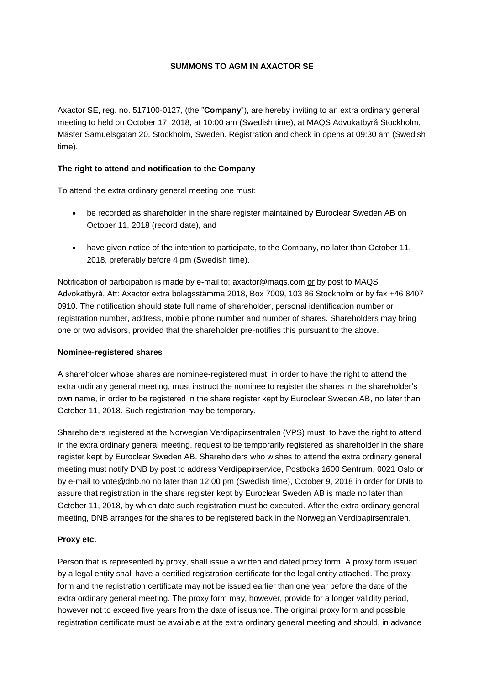## **SUMMONS TO AGM IN AXACTOR SE**

Axactor SE, reg. no. 517100-0127, (the "**Company**"), are hereby inviting to an extra ordinary general meeting to held on October 17, 2018, at 10:00 am (Swedish time), at MAQS Advokatbyrå Stockholm, Mäster Samuelsgatan 20, Stockholm, Sweden. Registration and check in opens at 09:30 am (Swedish time).

## **The right to attend and notification to the Company**

To attend the extra ordinary general meeting one must:

- be recorded as shareholder in the share register maintained by Euroclear Sweden AB on October 11, 2018 (record date), and
- have given notice of the intention to participate, to the Company, no later than October 11, 2018, preferably before 4 pm (Swedish time).

Notification of participation is made by e-mail to: axactor@maqs.com or by post to MAQS Advokatbyrå, Att: Axactor extra bolagsstämma 2018, Box 7009, 103 86 Stockholm or by fax +46 8407 0910. The notification should state full name of shareholder, personal identification number or registration number, address, mobile phone number and number of shares. Shareholders may bring one or two advisors, provided that the shareholder pre-notifies this pursuant to the above.

### **Nominee-registered shares**

A shareholder whose shares are nominee-registered must, in order to have the right to attend the extra ordinary general meeting, must instruct the nominee to register the shares in the shareholder's own name, in order to be registered in the share register kept by Euroclear Sweden AB, no later than October 11, 2018. Such registration may be temporary.

Shareholders registered at the Norwegian Verdipapirsentralen (VPS) must, to have the right to attend in the extra ordinary general meeting, request to be temporarily registered as shareholder in the share register kept by Euroclear Sweden AB. Shareholders who wishes to attend the extra ordinary general meeting must notify DNB by post to address Verdipapirservice, Postboks 1600 Sentrum, 0021 Oslo or by e-mail to vote@dnb.no no later than 12.00 pm (Swedish time), October 9, 2018 in order for DNB to assure that registration in the share register kept by Euroclear Sweden AB is made no later than October 11, 2018, by which date such registration must be executed. After the extra ordinary general meeting, DNB arranges for the shares to be registered back in the Norwegian Verdipapirsentralen.

### **Proxy etc.**

Person that is represented by proxy, shall issue a written and dated proxy form. A proxy form issued by a legal entity shall have a certified registration certificate for the legal entity attached. The proxy form and the registration certificate may not be issued earlier than one year before the date of the extra ordinary general meeting. The proxy form may, however, provide for a longer validity period, however not to exceed five years from the date of issuance. The original proxy form and possible registration certificate must be available at the extra ordinary general meeting and should, in advance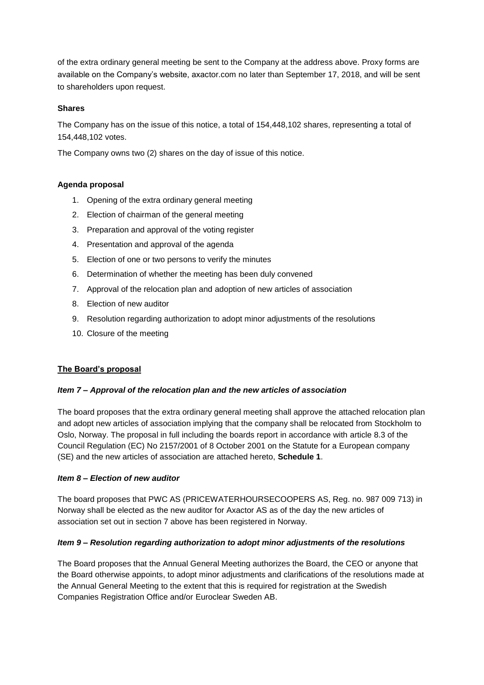of the extra ordinary general meeting be sent to the Company at the address above. Proxy forms are available on the Company's website, axactor.com no later than September 17, 2018, and will be sent to shareholders upon request.

# **Shares**

The Company has on the issue of this notice, a total of 154,448,102 shares, representing a total of 154,448,102 votes.

The Company owns two (2) shares on the day of issue of this notice.

# **Agenda proposal**

- 1. Opening of the extra ordinary general meeting
- 2. Election of chairman of the general meeting
- 3. Preparation and approval of the voting register
- 4. Presentation and approval of the agenda
- 5. Election of one or two persons to verify the minutes
- 6. Determination of whether the meeting has been duly convened
- 7. Approval of the relocation plan and adoption of new articles of association
- 8. Election of new auditor
- 9. Resolution regarding authorization to adopt minor adjustments of the resolutions
- 10. Closure of the meeting

### **The Board's proposal**

### *Item 7 – Approval of the relocation plan and the new articles of association*

The board proposes that the extra ordinary general meeting shall approve the attached relocation plan and adopt new articles of association implying that the company shall be relocated from Stockholm to Oslo, Norway. The proposal in full including the boards report in accordance with article 8.3 of the Council Regulation (EC) No 2157/2001 of 8 October 2001 on the Statute for a European company (SE) and the new articles of association are attached hereto, **Schedule 1**.

### *Item 8 – Election of new auditor*

The board proposes that PWC AS (PRICEWATERHOURSECOOPERS AS, Reg. no. 987 009 713) in Norway shall be elected as the new auditor for Axactor AS as of the day the new articles of association set out in section 7 above has been registered in Norway.

### *Item 9 – Resolution regarding authorization to adopt minor adjustments of the resolutions*

The Board proposes that the Annual General Meeting authorizes the Board, the CEO or anyone that the Board otherwise appoints, to adopt minor adjustments and clarifications of the resolutions made at the Annual General Meeting to the extent that this is required for registration at the Swedish Companies Registration Office and/or Euroclear Sweden AB.